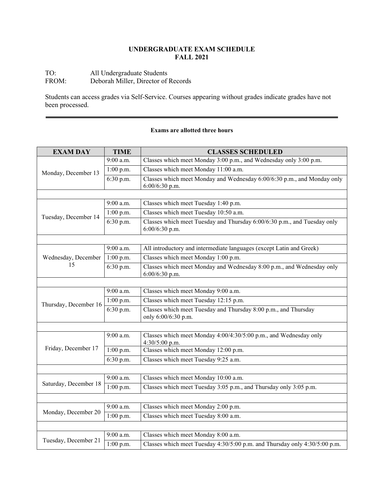# **UNDERGRADUATE EXAM SCHEDULE FALL 2021**

# TO: All Undergraduate Students FROM: Deborah Miller, Director of Records

Students can access grades via Self-Service. Courses appearing without grades indicate grades have not been processed.

### **Exams are allotted three hours**

| <b>EXAM DAY</b>           | <b>TIME</b> | <b>CLASSES SCHEDULED</b>                                                                    |
|---------------------------|-------------|---------------------------------------------------------------------------------------------|
| Monday, December 13       | 9:00 a.m.   | Classes which meet Monday 3:00 p.m., and Wednesday only 3:00 p.m.                           |
|                           | 1:00 p.m.   | Classes which meet Monday 11:00 a.m.                                                        |
|                           | 6:30 p.m.   | Classes which meet Monday and Wednesday 6:00/6:30 p.m., and Monday only<br>$6:00/6:30$ p.m. |
|                           |             |                                                                                             |
| Tuesday, December 14      | 9:00 a.m.   | Classes which meet Tuesday 1:40 p.m.                                                        |
|                           | $1:00$ p.m. | Classes which meet Tuesday 10:50 a.m.                                                       |
|                           | 6:30 p.m.   | Classes which meet Tuesday and Thursday 6:00/6:30 p.m., and Tuesday only<br>6:00/6:30 p.m.  |
|                           |             |                                                                                             |
| Wednesday, December<br>15 | 9:00 a.m.   | All introductory and intermediate languages (except Latin and Greek)                        |
|                           | 1:00 p.m.   | Classes which meet Monday 1:00 p.m.                                                         |
|                           | 6:30 p.m.   | Classes which meet Monday and Wednesday 8:00 p.m., and Wednesday only<br>6:00/6:30 p.m.     |
|                           |             |                                                                                             |
| Thursday, December 16     | 9:00 a.m.   | Classes which meet Monday 9:00 a.m.                                                         |
|                           | 1:00 p.m.   | Classes which meet Tuesday 12:15 p.m.                                                       |
|                           | 6:30 p.m.   | Classes which meet Tuesday and Thursday 8:00 p.m., and Thursday<br>only 6:00/6:30 p.m.      |
|                           |             |                                                                                             |
| Friday, December 17       | $9:00$ a.m. | Classes which meet Monday 4:00/4:30/5:00 p.m., and Wednesday only<br>4:30/5:00 p.m.         |
|                           | 1:00 p.m.   | Classes which meet Monday 12:00 p.m.                                                        |
|                           | 6:30 p.m.   | Classes which meet Tuesday 9:25 a.m.                                                        |
|                           |             |                                                                                             |
| Saturday, December 18     | 9:00 a.m.   | Classes which meet Monday 10:00 a.m.                                                        |
|                           | $1:00$ p.m. | Classes which meet Tuesday 3:05 p.m., and Thursday only 3:05 p.m.                           |
|                           |             |                                                                                             |
| Monday, December 20       | 9:00 a.m.   | Classes which meet Monday 2:00 p.m.                                                         |
|                           | $1:00$ p.m. | Classes which meet Tuesday 8:00 a.m.                                                        |
|                           |             |                                                                                             |
| Tuesday, December 21      | 9:00 a.m.   | Classes which meet Monday 8:00 a.m.                                                         |
|                           | $1:00$ p.m. | Classes which meet Tuesday 4:30/5:00 p.m. and Thursday only 4:30/5:00 p.m.                  |